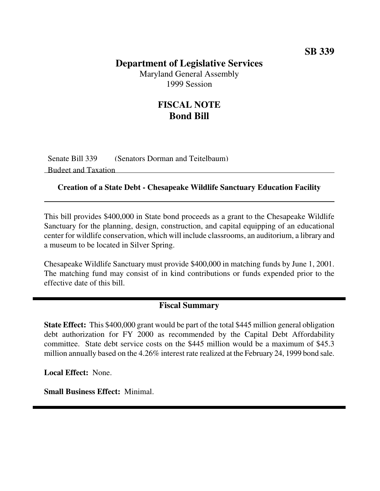### **Department of Legislative Services**

Maryland General Assembly 1999 Session

## **FISCAL NOTE Bond Bill**

Senate Bill 339 (Senators Dorman and Teitelbaum) Budget and Taxation

#### **Creation of a State Debt - Chesapeake Wildlife Sanctuary Education Facility**

This bill provides \$400,000 in State bond proceeds as a grant to the Chesapeake Wildlife Sanctuary for the planning, design, construction, and capital equipping of an educational center for wildlife conservation, which will include classrooms, an auditorium, a library and a museum to be located in Silver Spring.

Chesapeake Wildlife Sanctuary must provide \$400,000 in matching funds by June 1, 2001. The matching fund may consist of in kind contributions or funds expended prior to the effective date of this bill.

#### **Fiscal Summary**

**State Effect:** This \$400,000 grant would be part of the total \$445 million general obligation debt authorization for FY 2000 as recommended by the Capital Debt Affordability committee. State debt service costs on the \$445 million would be a maximum of \$45.3 million annually based on the 4.26% interest rate realized at the February 24, 1999 bond sale.

**Local Effect:** None.

**Small Business Effect:** Minimal.